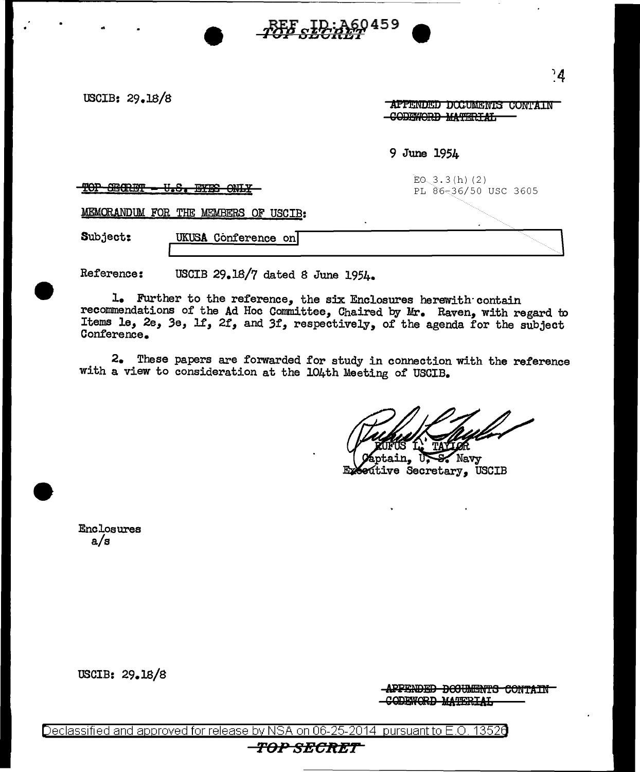USCIB: 29.18/8

|                                              | APPENDED DOCUMENTS CONTAIN |  |
|----------------------------------------------|----------------------------|--|
| CODEWORD HARRISTEL<br><b>AAMARA WATERTAN</b> |                            |  |

9 June 1954

0459

**REE & LD** 

TOP SECRET - U.S. EYES ONLY

 $EO. 3.3(h) (2)$ PL S6~36/50 USC 3605

MEMQRANDUM FOR THE MEMBERS OF USCIB:

Subject:

I UKUSA Conference on

Reference: USCIB 29.18/7 dated 8 June 1954.

l. Further to the reference, the six Enclosures herewith contain recommendations of the Ad Hoc Committee, Chaired by Mr. Raven, with regard to Items le, 2e, 3e, 1f, 2f, and 3f, respectively, of the agenda for the subject Conference.

2. These papers are forwarded for study in connection with the reference with a view to consideration at the 104th Meeting of USCIB.

Navy Exective Secretary, USCIB

Enclosures a/s

USCIB: 29.18/8

APPENDED DOCUMENTS CONTAIN **CODEWORD MATERIAL** 

Declassified and approved for release by NSA on 06-25-2014 pursuantto E.O. 1352a

### *TO.P SECRET*

 $^{\circ}4$ 

 $\vert$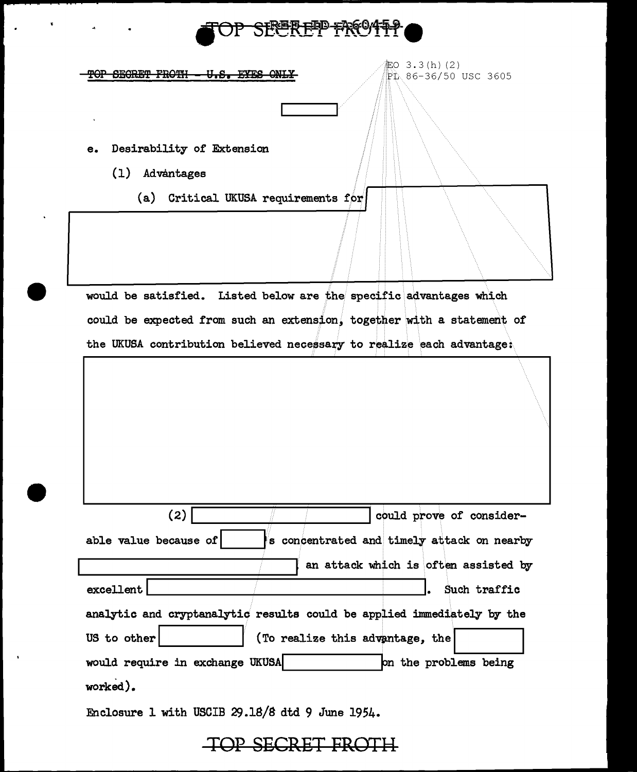

記0 3.3(h)(2) TOP SECRET FROTH - U.S. EYES ONLY PL 86-36/50 USC 3605 Desirability of Extension e. (1) Advantages (a) Critical UKUSA requirements for

would be satisfied. Listed below are the specific advantages which could be expected from such an extension, together with a statement of the UKUSA contribution believed necessary to realize each advantage:

| (2)                                                                    | could prove of consider-                   |
|------------------------------------------------------------------------|--------------------------------------------|
| able value because of                                                  | s concentrated and timely attack on nearby |
|                                                                        | an attack which is often assisted by       |
| excellent                                                              | Such traffic                               |
| analytic and cryptanalytic results could be applied immediately by the |                                            |
| (To realize this advantage, the<br>US to other                         |                                            |
| would require in exchange UKUSA                                        | on the problems being                      |
| worked).                                                               |                                            |

Enclosure 1 with USCIB 29.18/8 dtd 9 June 1954.

### OP SECRET FROTH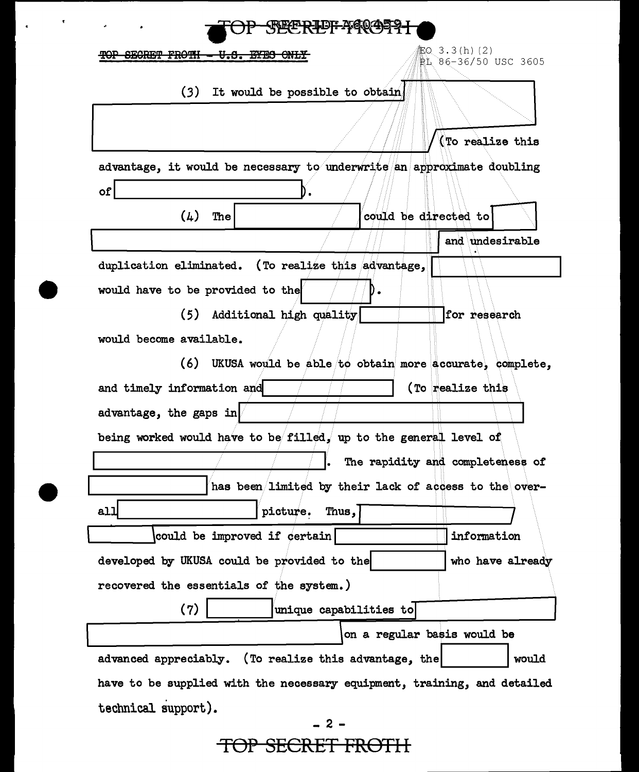| <del>. FROTH</del>                                                                                                                                                                                                                                                                      | <del>U.S. EYES ONLY</del>    |                                                        |                      | ① 3.3(h)(2)<br>⊉L 86-36/50 USC 3605                                    |
|-----------------------------------------------------------------------------------------------------------------------------------------------------------------------------------------------------------------------------------------------------------------------------------------|------------------------------|--------------------------------------------------------|----------------------|------------------------------------------------------------------------|
| (3)                                                                                                                                                                                                                                                                                     |                              | It would be possible to obtain                         |                      |                                                                        |
|                                                                                                                                                                                                                                                                                         |                              |                                                        |                      | (To realize this                                                       |
| of                                                                                                                                                                                                                                                                                      |                              |                                                        |                      | advantage, it would be necessary to underwrite an approximate doubling |
| (4)                                                                                                                                                                                                                                                                                     | The                          |                                                        | could be directed to |                                                                        |
|                                                                                                                                                                                                                                                                                         |                              |                                                        |                      | and undesirable                                                        |
| duplication eliminated. (To realize this advantage,                                                                                                                                                                                                                                     |                              |                                                        |                      |                                                                        |
| would have to be provided to the                                                                                                                                                                                                                                                        |                              |                                                        |                      |                                                                        |
| (5)                                                                                                                                                                                                                                                                                     | Additional high quality      |                                                        |                      | for research                                                           |
| would become available.                                                                                                                                                                                                                                                                 |                              |                                                        |                      |                                                                        |
| (6)                                                                                                                                                                                                                                                                                     |                              | UKUSA would be able to obtain more accurate, complete, |                      |                                                                        |
|                                                                                                                                                                                                                                                                                         |                              |                                                        |                      |                                                                        |
|                                                                                                                                                                                                                                                                                         |                              |                                                        |                      | (To realize this                                                       |
|                                                                                                                                                                                                                                                                                         |                              |                                                        |                      |                                                                        |
|                                                                                                                                                                                                                                                                                         |                              |                                                        |                      |                                                                        |
|                                                                                                                                                                                                                                                                                         |                              |                                                        |                      | The rapidity and completeness of                                       |
|                                                                                                                                                                                                                                                                                         |                              |                                                        |                      | has been limited by their lack of access to the over-                  |
|                                                                                                                                                                                                                                                                                         |                              | picture.<br>Thus,                                      |                      |                                                                        |
|                                                                                                                                                                                                                                                                                         | could be improved if certain |                                                        |                      | information                                                            |
|                                                                                                                                                                                                                                                                                         |                              |                                                        |                      | who have already                                                       |
|                                                                                                                                                                                                                                                                                         |                              |                                                        |                      |                                                                        |
|                                                                                                                                                                                                                                                                                         |                              |                                                        |                      |                                                                        |
| (7)                                                                                                                                                                                                                                                                                     |                              | unique capabilities to                                 |                      |                                                                        |
| and timely information and<br>advantage, the gaps $in /$<br>being worked would have to be filled, up to the general level of<br>a11<br>developed by UKUSA could be provided to the<br>recovered the essentials of the system.)<br>advanced appreciably. (To realize this advantage, the |                              |                                                        |                      | on a regular basis would be<br>would                                   |

 $\mathcal{L}_{\text{max}}$ 

 $\epsilon$ 

### TOP SECRET FROTH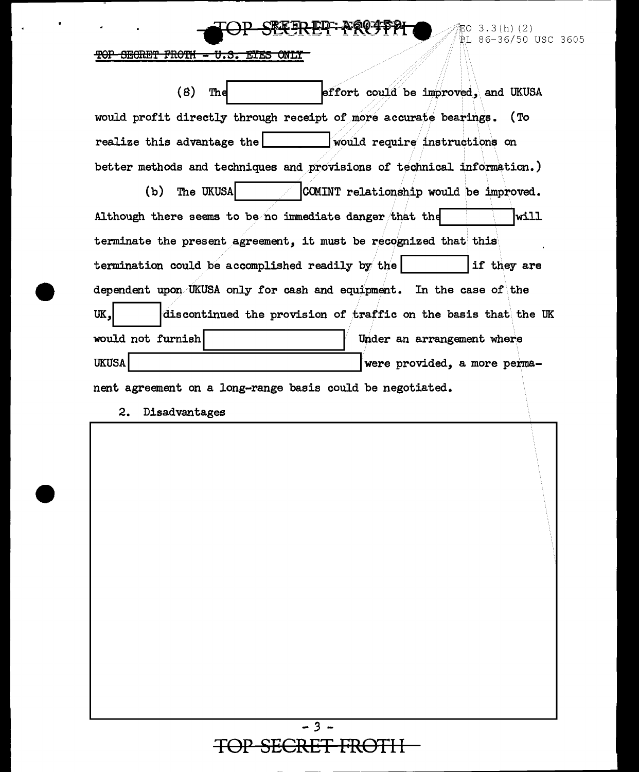TOP SECRET FROTH - U.S. EYES ONLY

EO  $3.3(h)$  (2) **BL 86-36/50 USC 3605** 

 $(8)$ effort could be improved, and UKUSA The would profit directly through receipt of more accurate bearings. (To realize this advantage the would require instructions on better methods and techniques and provisions of technical information.)  $(b)$ The UKUSA COMINT relationship would be improved. Although there seems to be no immediate danger that the will terminate the present agreement, it must be recognized that this

termination could be accomplished readily by the if they are dependent upon UKUSA only for cash and equipment. In the case of the UK, discontinued the provision of traffic on the basis that the UK would not furnish Under an arrangement where **UKUSA** were provided, a more perma-

nent agreement on a long-range basis could be negotiated.

 $2.$ Disadvantages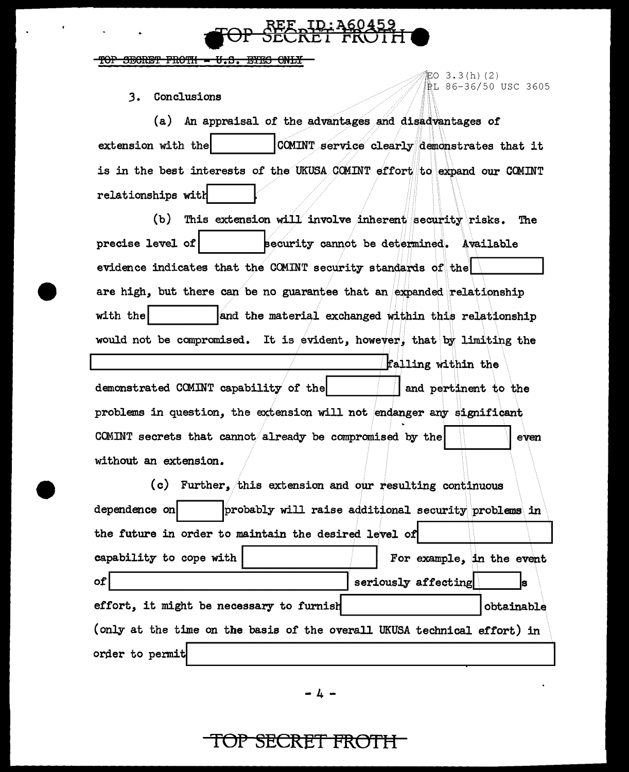### 2002-0022<br>2002-0022

 $EO$  3.3(h)(2)

PL 86-36/50 USC 3605

#### TOP SECRET FROTH - U.S. EYES ONLY

Conclusions  $3.$ 

(a) An appraisal of the advantages and disadvantages of COMINT service clearly demonstrates that it extension with the is in the best interests of the UKUSA COMINT effort to expand our COMINT relationships with

(b) This extension will involve inherent security risks. The precise level of security cannot be determined. Available evidence indicates that the COMINT security standards of the are high, but there can be no guarantee that an expanded relationship with the and the material exchanged within this relationship would not be compromised. It is evident, however, that by limiting the

falling within the demonstrated COMINT capability of the and pertinent to the problems in question, the extension will not endanger any significant COMINT secrets that cannot already be compromised by the even without an extension.

(c) Further, this extension and our resulting continuous dependence on probably will raise additional security problems in the future in order to maintain the desired level of capability to cope with For example, in the event of seriously affecting effort, it might be necessary to furnish obtainable (only at the time on the basis of the overall UKUSA technical effort) in order to permit

 $-4 -$ 

### TOP SECRET FROTH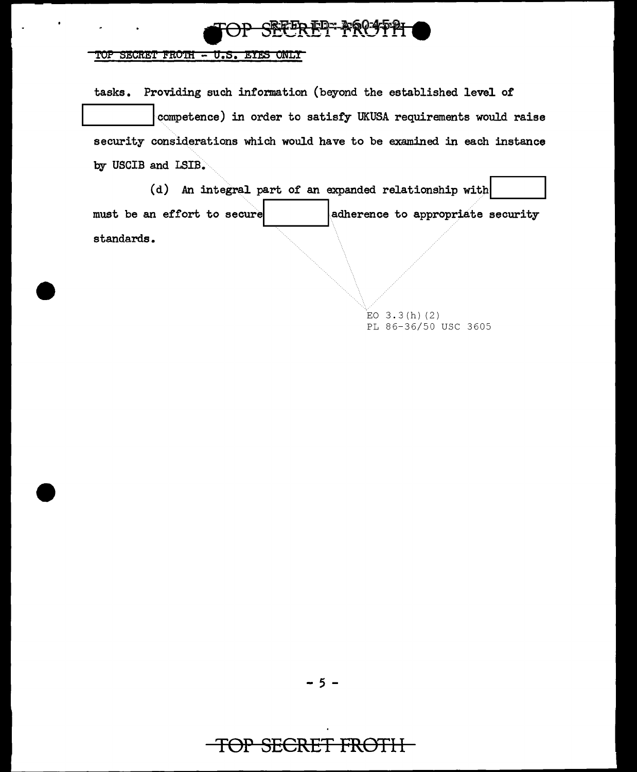F<del>TT PRY TT</del>

#### TOP SECRET FROTH - U.S. EYES ONLY

Providing such information (beyond the established level of tasks. competence) in order to satisfy UKUSA requirements would raise security considerations which would have to be examined in each instance by USCIB and LSIB.

(d) An integral part of an expanded relationship with must be an effort to secure adherence to appropriate security standards.

> $EO$  3.3(h)(2) PL 86-36/50 USC 3605



. 5 –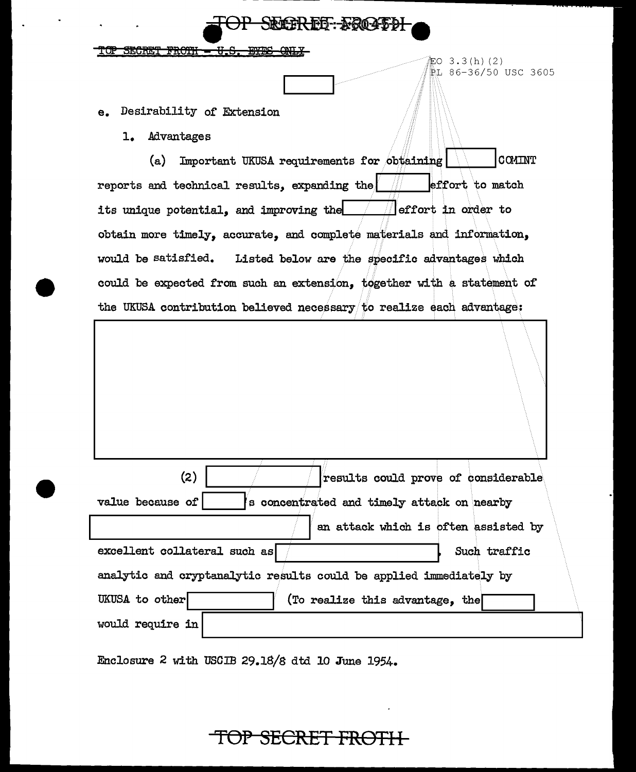### F6-520455

 $EO 3.3(h) (2)$ 

 $R$ L 86-36/50 USC 3605

SECRET FROTH -᠊ᡦᠴ᠍ᡦ

e. Desirability of Extension

1. Advantages

(a) Important UKUSA requirements for obtaining **\ detect cOMINT** reports and technical results, expanding the  $||$  effort to match its unique potential, and improving the  $f$  f effort in order to obtain more timely, accurate, and complete materials and information, would be satisfied. Listed below are the specific advantages which could be expected from such an extension, together with a statement of the UKUSA contribution believed necessary to realize each advantage:

| (2)<br>results could prove of considerable                         |  |  |
|--------------------------------------------------------------------|--|--|
| value because of<br>s concentrated and timely attack on nearby     |  |  |
| an attack which is often assisted by                               |  |  |
| excellent collateral such as<br>Such traffic                       |  |  |
| analytic and cryptanalytic results could be applied immediately by |  |  |
| UKUSA to other<br>(To realize this advantage, the                  |  |  |
| would require in                                                   |  |  |
|                                                                    |  |  |

Enclosure 2 with USCIB 29.18/8 dtd 10 June 1954.

**TOP SECRET** FROTI I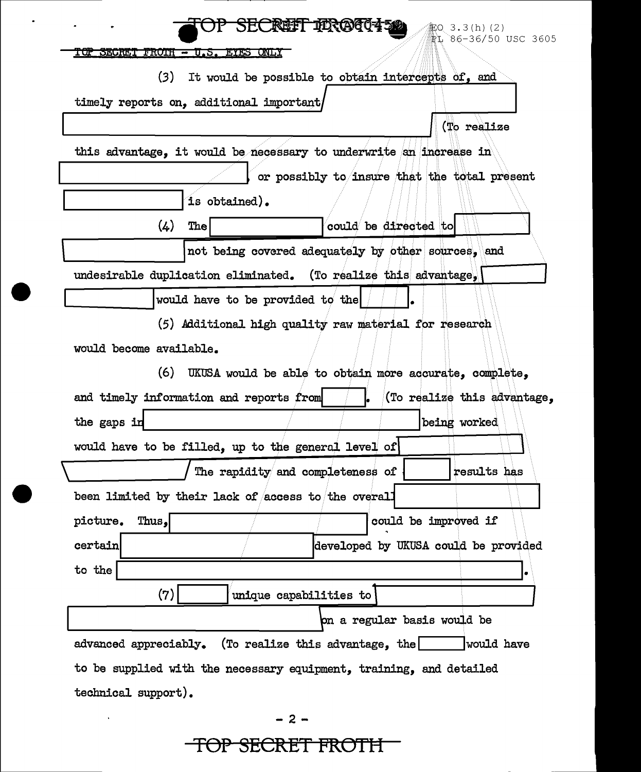| SECRET TOZAGO45<br><u>ま</u> Q 3.3(h) (2)<br>86-36/50 USC 3605<br>₽L    |  |  |  |  |
|------------------------------------------------------------------------|--|--|--|--|
| TOP SECRET FROIH - U.S. EYES UNLY                                      |  |  |  |  |
| (3)<br>It would be possible to obtain intercepts of, and               |  |  |  |  |
| timely reports on, additional important,                               |  |  |  |  |
| (To realize                                                            |  |  |  |  |
| this advantage, it would be necessary to underwrite an increase in     |  |  |  |  |
| or possibly to insure that the total present                           |  |  |  |  |
| is obtained).                                                          |  |  |  |  |
| (4)<br>could be directed to<br>The <sub>l</sub>                        |  |  |  |  |
| not being covered adequately by other sources, and                     |  |  |  |  |
| undesirable duplication eliminated. (To realize this advantage,        |  |  |  |  |
| would have to be provided to the                                       |  |  |  |  |
| (5) Additional high quality raw material for research                  |  |  |  |  |
| would become available.                                                |  |  |  |  |
| (6)<br>UKUSA would be able to obtain more accurate, complete,          |  |  |  |  |
| (To realize this advantage,<br>and timely information and reports from |  |  |  |  |
| the gaps in<br>being worked                                            |  |  |  |  |
| would have to be filled, up to the general level of                    |  |  |  |  |
| results has<br>The rapidity and completeness of                        |  |  |  |  |
| been limited by their lack of access to the overall                    |  |  |  |  |
| picture.<br>could be improved if<br>Thus,                              |  |  |  |  |
| certain<br>developed by UKUSA could be provided                        |  |  |  |  |
| to the<br>$\bullet$                                                    |  |  |  |  |
| (7)<br>unique capabilities to                                          |  |  |  |  |
| on a regular basis would be                                            |  |  |  |  |
| advanced appreciably. (To realize this advantage, the<br>would have    |  |  |  |  |
| to be supplied with the necessary equipment, training, and detailed    |  |  |  |  |
|                                                                        |  |  |  |  |

 $\bullet$ 

 $-2-$ 

 $\ddot{\phantom{a}}$ 

### TOP SECRET FROTH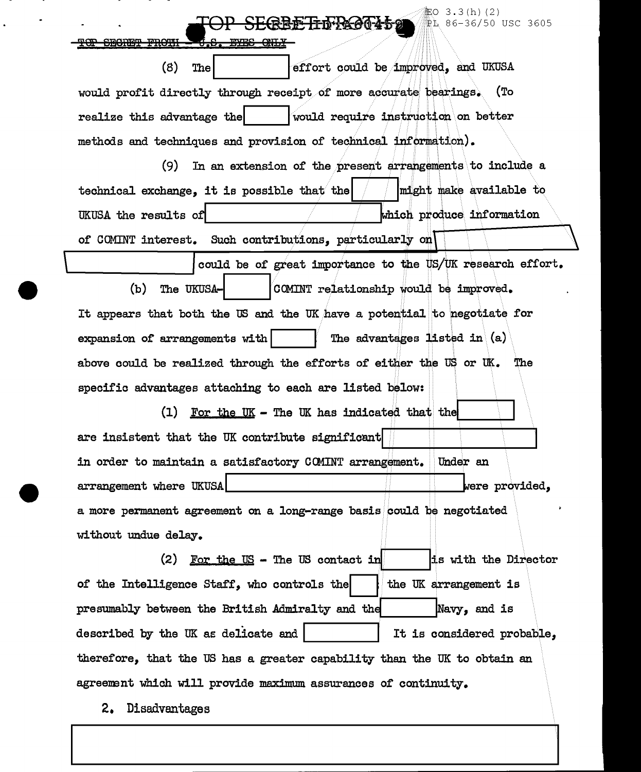### **BETHERROTIS**

主O 3.3(h)(2) PL 86-36/50 USC 3605

 $(8)$ The effort could be improved, and UKUSA would profit directly through receipt of more accurate bearings.  $(T_0$ realize this advantage the would require instruction on better methods and techniques and provision of technical information).

In an extension of the present arrangements to include a  $(9)$ might make available to technical exchange. it is possible that the UKUSA the results of which produce information of COMINT interest. Such contributions, particularly on

could be of great importance to the US/UK research effort.  $(b)$ The UKUSA-COMINT relationship would be improved. It appears that both the US and the UK have a potential to negotiate for expansion of arrangements with The advantages listed in  $(a)$ above could be realized through the efforts of either the US or UK. The specific advantages attaching to each are listed below:

(1) For the UK - The UK has indicated that the are insistent that the UK contribute significant in order to maintain a satisfactory COMINT arrangement. Under an arrangement where UKUSA were provided. a more permanent agreement on a long-range basis could be negotiated without undue delay.

 $(2)$  For the US - The US contact in is with the Director of the Intelligence Staff, who controls the the UK arrangement is presumably between the British Admiralty and the Navy, and is described by the UK as delicate and It is considered probable. therefore, that the US has a greater capability than the UK to obtain an agreement which will provide maximum assurances of continuity.

2. Disadvantages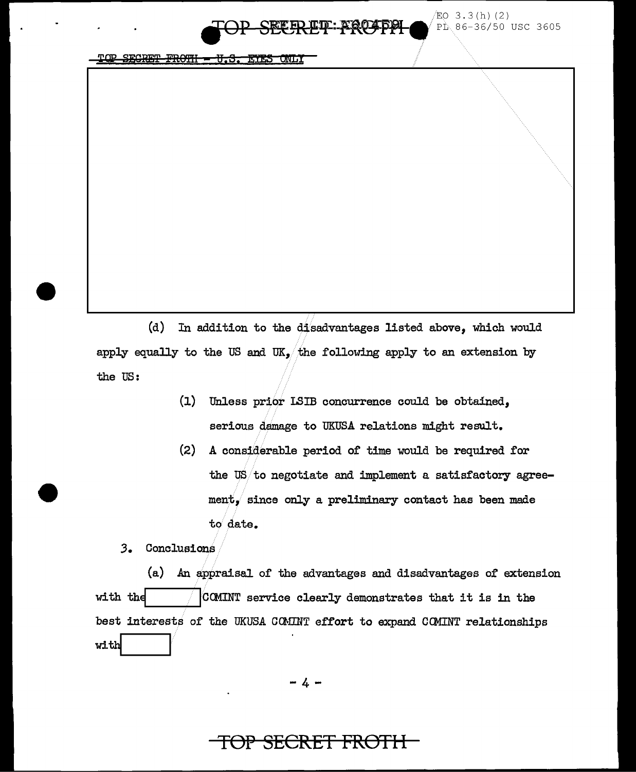SEGRET FROTH - U.S. EYE

(d) In addition to the disadvantages listed above, which would apply equally to the US and UK, the following apply to an extension by the US:

- (1) Unless prior LSIB concurrence could be obtained, serious damage to UKUSA relations might result.
- (2) A considerable period of time would be required for the US/to negotiate and implement a satisfactory agreement, since only a preliminary contact has been made to date.

*3.* Conclusions

(a) An appraisal of the advantages and disadvantages of extension with the  $\sim$  CCMINT service clearly demonstrates that it is in the best interests of the UKUSA COMINT effort to expand COMINT relationships  $with$ 

-4-

### **SECRET FROTH**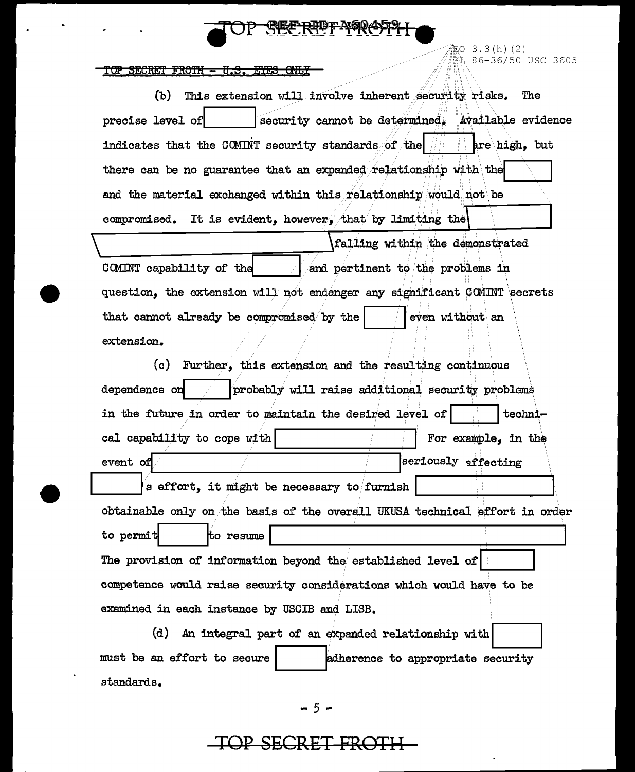$203.3(h)(2)$ pL 86-36/50 USC 3605

#### <u> TOP SECRET FROTH - U.S</u> <del>EYES ONLY</del>

(b) This extension will involve inherent security risks. The precise level of security cannot be determined. Available evidence indicates that the COMINT security standards of the are high, but there can be no guarantee that an expanded relationship with the and the material exchanged within this relationship would not be compromised. It is evident, however, that by limiting the falling within the demonstrated COMINT capability of the and pertinent to the problems in question, the extension will not endanger any significant COMINT secrets that cannot already be compromised by the even without an extension. Further, this extension and the resulting continuous  $(c)$ dependence on probably will raise additional security problems in the future in order to maintain the desired level of technical capability to cope with For example, in the seriously affecting event of s effort, it might be necessary to furnish obtainable only on the basis of the overall UKUSA technical effort in order to permit to resume The provision of information beyond the established level of competence would raise security considerations which would have to be examined in each instance by USCIB and LISB.

(d) An integral part of an expanded relationship with must be an effort to secure adherence to appropriate security standards.

 $5<sub>1</sub>$ 

### SECRET E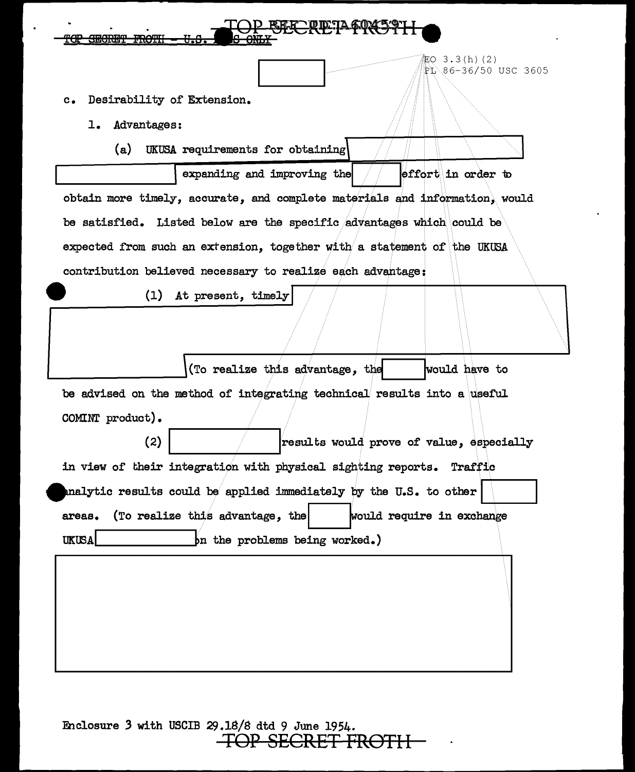|                     | <b>EFF QDIA60X591</b><br><del>ONLY</del>                                                                                            |
|---------------------|-------------------------------------------------------------------------------------------------------------------------------------|
| $c_{\bullet}$<br>ı. | <u></u> 他 3.3(h)(2)<br>PI\86-36/50 USC 3605<br>Desirability of Extension.<br>Advantages:<br>(a)<br>UKUSA requirements for obtaining |
|                     | effort in order to<br>expanding and improving the                                                                                   |
|                     | obtain more timely, accurate, and complete materials and information, would                                                         |
|                     | be satisfied. Listed below are the specific advantages which could be                                                               |
|                     | expected from such an extension, together with a statement of the UKUSA                                                             |
|                     | contribution believed necessary to realize each advantage:                                                                          |
|                     | (1)<br>At present, timely                                                                                                           |
|                     |                                                                                                                                     |
|                     | (To realize this advantage, the<br>would have to                                                                                    |
|                     | be advised on the method of integrating technical results into a useful                                                             |
|                     | COMINT product).                                                                                                                    |
|                     | (2)<br>results would prove of value, especially                                                                                     |
|                     | in view of their integration with physical sighting reports. Traffic                                                                |
|                     | analytic results could be applied immediately by the U.S. to other                                                                  |
| areas.              | (To realize this advantage, the<br>would require in exchange                                                                        |
| <b>UKUSA</b>        | $\mathop{\text{bn}}$ the problems being worked.)                                                                                    |
|                     |                                                                                                                                     |

Fnclosure 3 with USCIB 29.18/8 dtd 9 June 1954. **TOP SECRET** FROTI I

 $\sim$   $\star$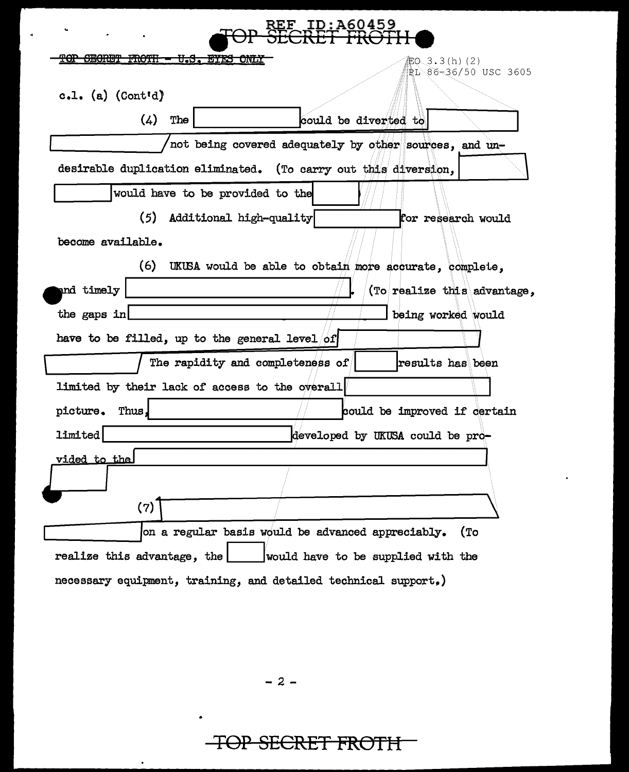| <u>REF</u> ID:A60459                                                                 |
|--------------------------------------------------------------------------------------|
| <del>CEORET</del><br><del>FROTH</del><br><del>- U.S. EYES ONLY</del><br>LO 3.3(h)(2) |
| ℟L\86-36/50 USC 3605<br>c.1. (a) (Control)<br>(4)<br>The<br>could be diverted to     |
| not being covered adequately by other sources, and un-                               |
| desirable duplication eliminated. (To carry out this diversion,                      |
| would have to be provided to the                                                     |
| (5)<br>Additional high-quality<br>for research would                                 |
| become available.                                                                    |
| (6)<br>UKUSA would be able to obtain more accurate, complete,                        |
| and timely<br>(To realize this advantage,                                            |
| the gaps in<br>being worked would                                                    |
| have to be filled, up to the general level/of                                        |
| The rapidity and completeness of<br>results has been                                 |
| limited by their lack of access to the overall                                       |
| Thus,<br>picture.<br>could be improved if certain                                    |
| limited<br>developed by UKUSA could be pro-                                          |
| vided to the                                                                         |
|                                                                                      |
| (7)                                                                                  |
| on a regular basis would be advanced appreciably.<br>(To                             |
| realize this advantage, the<br>would have to be supplied with the                    |
| necessary equipment, training, and detailed technical support,)                      |

 $\overline{a}$ 

 $-2-$ 

### TOP SECRET FROTH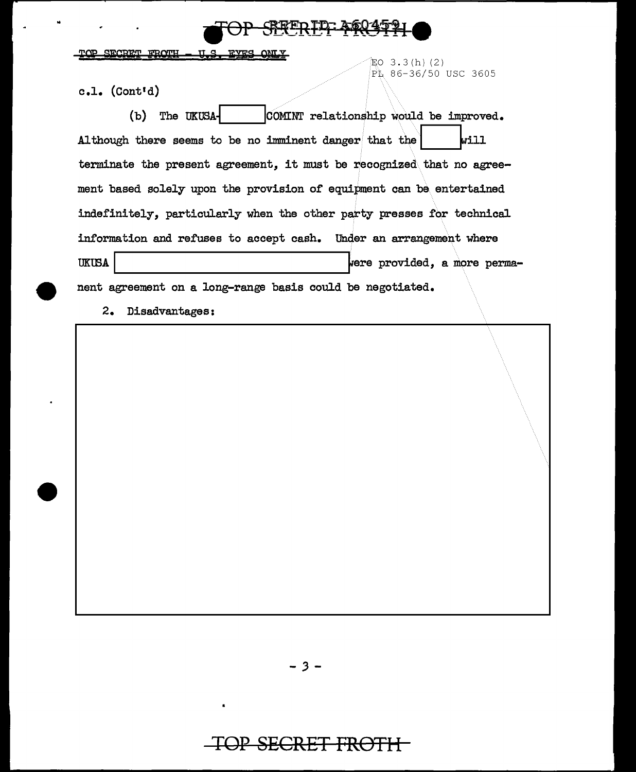FROTH **START** 

 $EO$  3.3(h)(2) FL 86-36/50 USC 3605

c.l. (Cont'd)

(b) The UKUSA- $\vert$  .  $\vert$  .  $\vert$  .  $\vert$  .  $\vert$  . The UKUSA- $\vert$  .  $\vert$  .  $\vert$  .  $\vert$  .  $\vert$  .  $\vert$  .  $\vert$  .  $\vert$  .  $\vert$  .  $\vert$  .  $\vert$  .  $\vert$  .  $\vert$  .  $\vert$  .  $\vert$  .  $\vert$  .  $\vert$  .  $\vert$  .  $\vert$  .  $\vert$  .  $\vert$  .  $\vert$  .  $\vert$  . Although there seems to be no imminent danger that the  $\vert$  will terminate the present agreement, it must be recognized that no agreement based solely upon the provision of equipment can be. entertained indefinitely, particularly when the other party presses for technical information and refuses to accept cash. Under an arrangement where UKUSA | UKUSA | ere provided, a more permanent agreement on a long-range basis could be negotiated.

2. Disadvantages:

**TOP SECRET FROTH**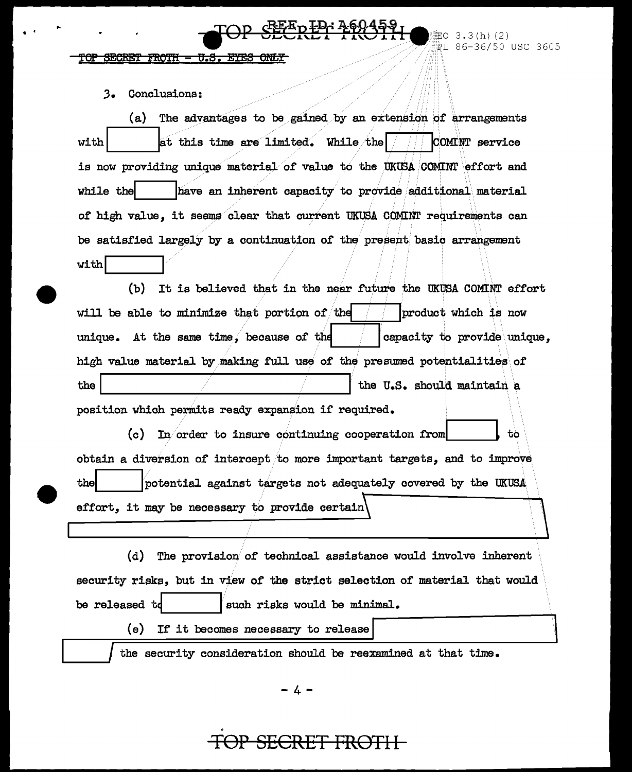#### <u>FROTH - U.S. EYES ONLY</u>

#### .3. Conclusions:

(a) The advantages to be gained by an extension of arrangements with  $|$  at this time are limited. While the  $|$   $|$  COMRT service is now providing unique material of value to the UKUSA COMINT effort and while the **I .... Interest in the I ....** I ... while the material of high value, it seems clear that current UKUSA COMINT requirements can be satisfied largely by a continuation of the present basic arrangement  $with$ 

<u>. SEE ED ED : A 60459 .</u>

(b) It is believed that in the near future the UKOSA COMINT effort will be able to minimize that portion of the  $/$  fproduct which is now ....--....!:::::::::::::::;----' unique. At the same time, because of the  $\blacksquare$  **f absorbtly to provide** unique. high value material by making full use of the presumed potentialities of the second the u.s. should maintain a the u.s. should maintain a position which permits ready expansion if required.

(c) In/order to insure continuing cooperation .froml **l** to obtain a diversion of intercept */to* more important targets, and to improve. the **independent of the UKUSA** integrate targets not adequately covered by the UKUSA effort, it may be necessary to provide certain

(d) The provision of technical assistance would involve inherent security risks, but in view of the strict selection of material that would be released t~.\_ \_\_\_ ..... lsuch risks would be minimal. --~~~~~~~~~~~---,

(e) If it becomes necessary to release

the security consideration should be reexamined at that time.

### **TOP SECRET** FROTI I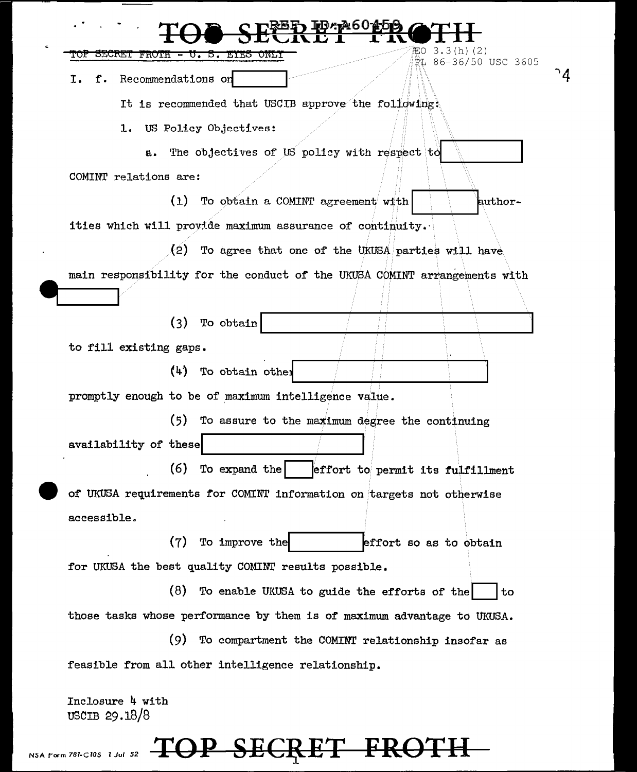| EL 86-36/50 USC 3605<br>Recommendations on<br>f.<br>Ι.                    |
|---------------------------------------------------------------------------|
| It is recommended that USCIB approve the following:                       |
| US Policy Objectives:<br>ı.                                               |
| The objectives of US policy with respect to<br>а.                         |
| COMINT relations are:                                                     |
| (1)<br>To obtain a COMINT agreement with<br>author-                       |
| ities which will provide maximum assurance of continuity.                 |
| (2)<br>To agree that one of the UKUSA parties will have                   |
| main responsibility for the conduct of the UKUSA COMINT arrangements with |
|                                                                           |
| (3)<br>To obtain                                                          |
| to fill existing gaps.                                                    |
| (4) To obtain other                                                       |
| promptly enough to be of maximum intelligence value.                      |
| (5)<br>To assure to the maximum degree the continuing                     |
| availability of these                                                     |
| (6)<br>To expand the<br>effort to permit its fulfillment                  |
| of UKUSA requirements for COMINT information on targets not otherwise     |
| accessible.                                                               |
| (7)<br>To improve the<br>effort so as to obtain                           |
| for UKUSA the best quality COMINT results possible.                       |
| (8)<br>To enable UKUSA to guide the efforts of the<br>to                  |
| those tasks whose performance by them is of maximum advantage to UKUSA.   |
| (9)<br>To compartment the COMINT relationship insofar as                  |
| feasible from all other intelligence relationship.                        |

# NSA Form 781-ClOs 1 Jul 52 **TOP SECRET FROTH**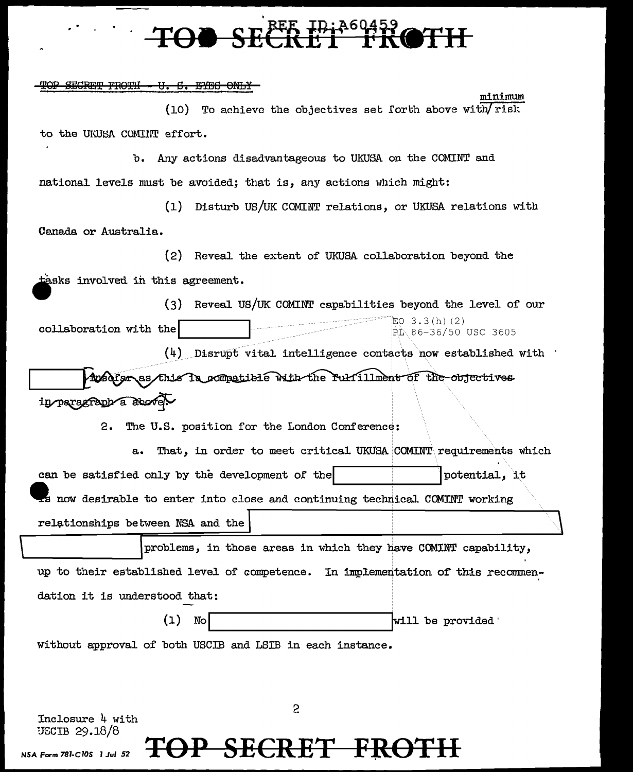### .<br>.<br>.  $\frac{1}{2}$

TOP SECRET FROTH - U. S. EYES ONLY

minimum  $(10)$  To achieve the objectives set forth above with/risk. to the UKUSA COMINT effort.

b. Any actions disadvantageous to UKUSA on the COMINT and national levels must be avoided; that is, any actions which might:

(1) Disturb US/UK COMINT relations, or UKUSA relations with Canada or Australia.

(2) Reveal the extent of UKUSA collaboration beyond the

tasks involved in this agreement.

(3) Reveal US/UK COMINT capabilities beyond the level of our  $EO$  3.3(h) (2) collaboration with the  $\overline{p}_{L.86-36/50}$  use 3605

(4) Disrupt vital intelligence contacts now established with

~hose far as this is compatible with the full illment of the objectives in paragraph a showed.

2. The U.S. position for the London Conference:

a. That, in order to meet critical UKUSA COMINT requirements which can be satisfied only by the development of thel **J** potential, it ~ now desirable to enter into close and continuing technical COMINT working relationships between NSA and the

problems, in those areas in which they have COMINT capability, up to their established level of competence. In implementation of this recommendation it is understood that:

 $[$   $]$   $]$   $[$   $]$   $]$   $[$   $]$   $[$   $]$   $[$   $]$   $[$   $]$   $[$   $]$   $[$   $]$   $[$   $]$   $[$   $]$   $[$   $]$   $[$   $]$   $[$   $]$   $[$   $]$   $[$   $]$   $[$   $]$   $[$   $]$   $[$   $]$   $[$   $]$   $[$   $]$   $[$   $]$   $[$   $]$   $[$   $]$   $[$   $]$   $[$   $]$   $[$   $]$   $[$ 

without approval of both USCIB and LSIB in each instance.

Inclosure  $4$  with :JGCIB 29.18/8

# <sup>NSA Form 781-ClOs 1 Jul 52</sup> **TOP SECRET FRO**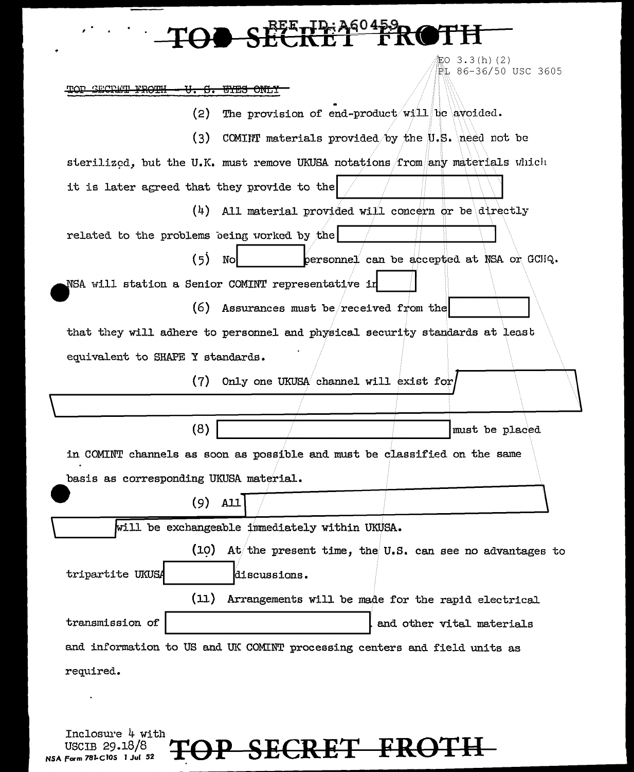## H<sub>E</sub> 260459<br>REFERE

缸O 3.3(h)(2) PL 86-36/50 USC 3605

TOP SECRET FROTH - U. S. EYES ONLY

- The provision of end-product will be avoided.  $(2)$
- $(3)$ COMINT materials provided by the U.S. need not be

sterilized, but the U.K. must remove UKUSA notations from any materials which it is later agreed that they provide to the

 $(4)$  All material provided will concern or be directly

related to the problems being worked by the  $(5)$  No personnel can be accepted at NSA or GCHQ.

NSA will station a Senior COMINT representative in

 $(6)$  Assurances must be received from the that they will adhere to personnel and physical security standards at least

equivalent to SHAPE Y standards.

(7) Only one UKUSA channel will exist for

 $(8)$ must be placed in COMINT channels as soon as possible and must be classified on the same basis as corresponding UKUSA material.  $(9)$  All will be exchangeable immediately within UKUSA. (10) At the present time, the U.S. can see no advantages to tripartite UKUSA discussions.  $(11)$ Arrangements will be made for the rapid electrical transmission of and other vital materials and information to US and UK COMINT processing centers and field units as required.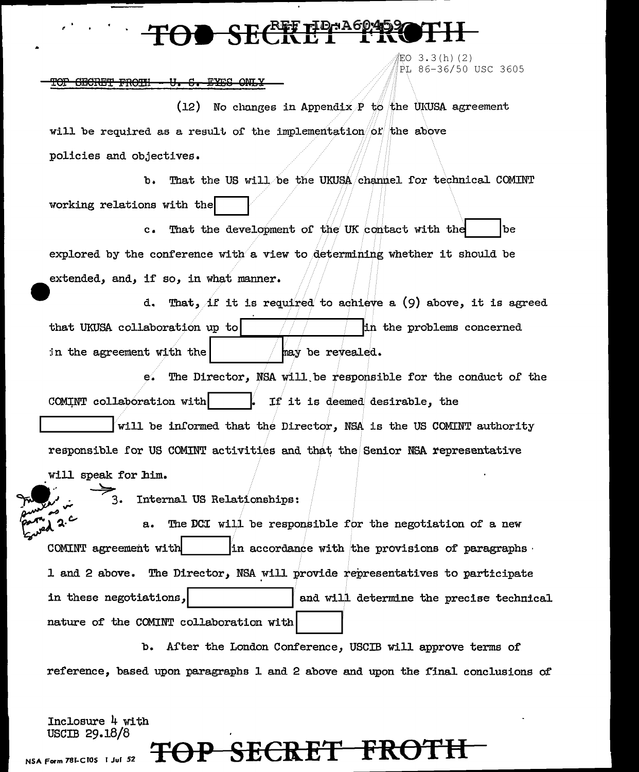### SECT.

 $EO$  3.3(h)(2) PL 86-36/50 USC 3605

#### U. C. EYES ONLY <del>TOP GECRET FROIH</del>

No changes in Appendix  $P$  to the UKUSA agreement  $(12)$ will be required as a result of the implementation/of the above policies and objectives.

That the US will be the UKUSA channel for technical COMINT  $\mathbf{b}$ . working relations with the

That the development of the UK contact with the  $c<sub>1</sub>$ be explored by the conference with a view to determining whether it should be extended, and, if so, in what manner.

d. That, if it is required to achieve a (9) above, it is agreed that UKUSA collaboration up to in the problems concerned in the agreement with the may be revealed.

The Director, NSA will be responsible for the conduct of the  $e'$ COMINT collaboration with If it is deemed desirable, the

will be informed that the Director, NSA is the US COMINT authority responsible for US COMINT activities and that the Senior NSA representative

will speak for him.

Internal US Relationships:

 $2.$ The DCI will be responsible for the negotiation of a new  $a.$ COMINT agreement with in accordance with the provisions of paragraphs. 1 and 2 above. The Director, NSA will provide representatives to participate in these negotiations, and will determine the precise technical nature of the COMINT collaboration with

b. After the London Conference, USCIB will approve terms of reference, based upon paragraphs 1 and 2 above and upon the final conclusions of

Inclosure 4 with USCIB 29.18/8

#### うとしはどナード HP-NSA Form 78I-C105 I Jul 52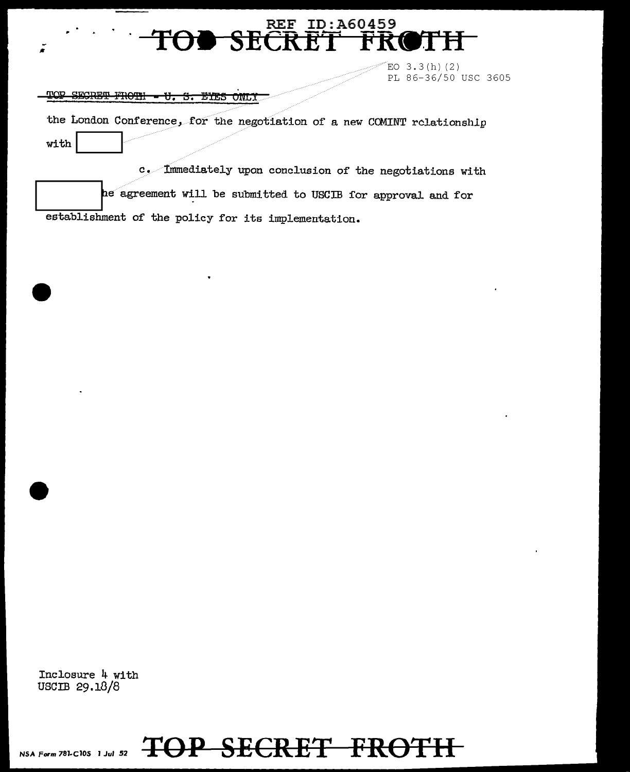

 $EO$  3.3 $(h)$  (2) PL 86-36/50 USC 3605

#### TOP SECRET FROTH - U. S. ETES ONLY

the London Conference, for the negotiation of a new COMINT rclationshlp with

c. Immediately upon conclusion of the negotiations with

he agreement will be submitted to USCIB for approval and for establishment of the policy for its implementation.

Inclosure 4 with USCIB 29.18/8

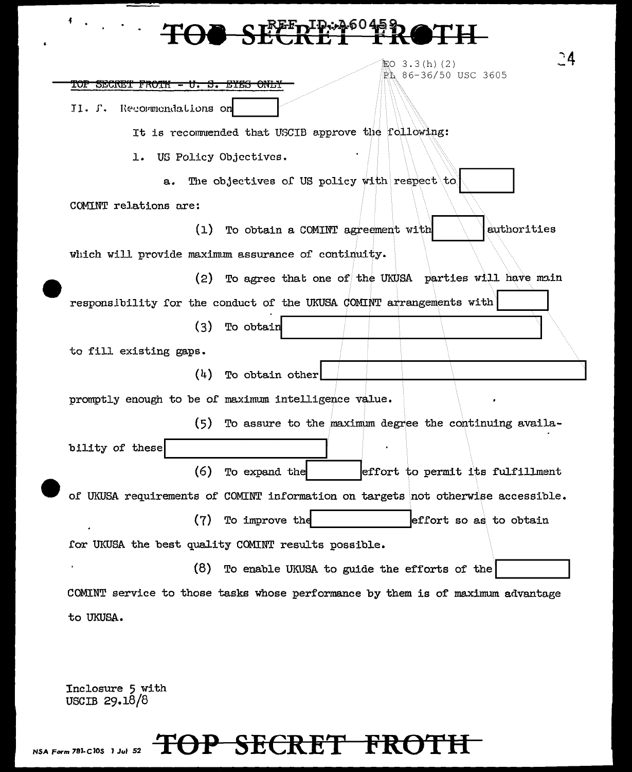# TOO SECRET FROTH

| 缸O 3.3(h) (2)                                                                    |
|----------------------------------------------------------------------------------|
| BL 86-36/50 USC 3605<br><u>SECRET TROIN - U. S. EIES ONLY</u><br>TUF             |
| Recommendations on<br>TI. S.                                                     |
| It is recommended that USCIB approve the following:                              |
| US Policy Objectives.<br>ı.                                                      |
| The objectives of US policy with respect to<br>а.                                |
| COMINT relations are:                                                            |
| authorities<br>To obtain a COMINT agreement with<br>(1)                          |
| which will provide maximum assurance of continuity.                              |
| To agree that one of the UKUSA parties will have main<br>(2)                     |
| responsibility for the conduct of the UKUSA COMINT arrangements with             |
| (3)<br>To obtain                                                                 |
| to fill existing gaps.                                                           |
| (4)<br>To obtain other                                                           |
| promptly enough to be of maximum intelligence value.<br>٠                        |
| (5)<br>To assure to the maximum degree the continuing availa-                    |
| bility of these                                                                  |
| (6)<br>To expand the<br>effort to permit its fulfillment                         |
| of UKUSA requirements of COMINT information on targets not otherwise accessible. |
| To improve the<br>effort so as to obtain<br>(7)                                  |
| for UKUSA the best quality COMINT results possible.                              |
| (8)<br>To enable UKUSA to guide the efforts of the                               |
| COMINT service to those tasks whose performance by them is of maximum advantage  |
| to UKUSA.                                                                        |

Inclosure 5 with<br>USCIB 29.18/8

### NSA Form 781-Clos 1 Jul 52 TOP SECRET FROTH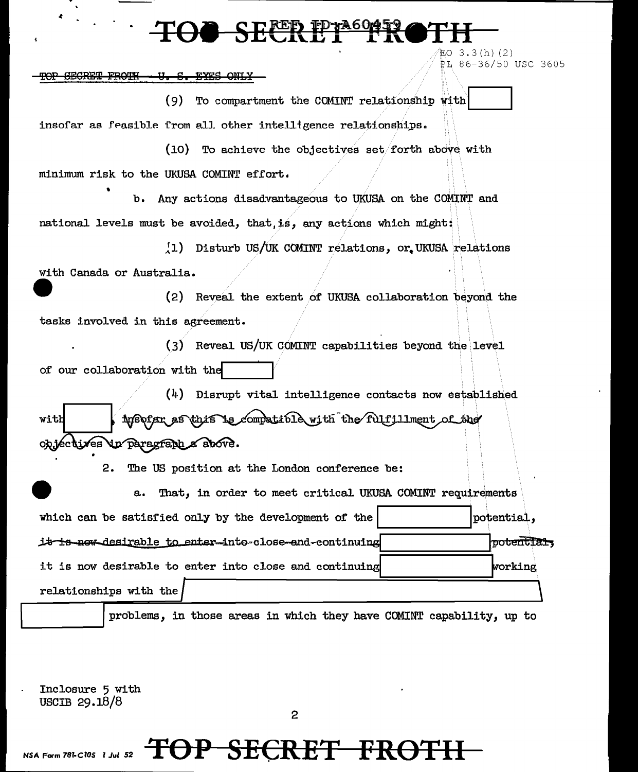### OO SECRETA60452

 $3.3(h)(2)$ PL 86-36/50 USC 3605

**GEGRET FROTH EXES ONLY** <del>U. S.</del>

To compartment the COMINT relationship with  $(9)$ insofar as feasible from all other intelligence relationships.

(10) To achieve the objectives set forth above with minimum risk to the UKUSA COMINT effort.

Any actions disadvantageous to UKUSA on the COMINT and  $<sub>b</sub>$ </sub> national levels must be avoided, that is, any actions which might:

[1] Disturb US/UK COMINT relations, or UKUSA relations with Canada or Australia.

(2) Reveal the extent of UKUSA collaboration beyond the tasks involved in this agreement.

(3) Reveal US/UK COMINT capabilities beyond the level of our collaboration with the

(4) Disrupt vital intelligence contacts now established tysofar as this is compatible with the fulfillment of the with onjéctives in paragraph a above.

> $2.$ The US position at the London conference be:

That, in order to meet critical UKUSA COMINT requirements  $a.$ which can be satisfied only by the development of the potential, it is now desirable to enter-into-close-and-continuing potentia<del>l</del>, it is now desirable to enter into close and continuing working relationships with the

problems, in those areas in which they have COMINT capability, up to

Inclosure 5 with USCIB 29.18/8

TOP SECRET FROT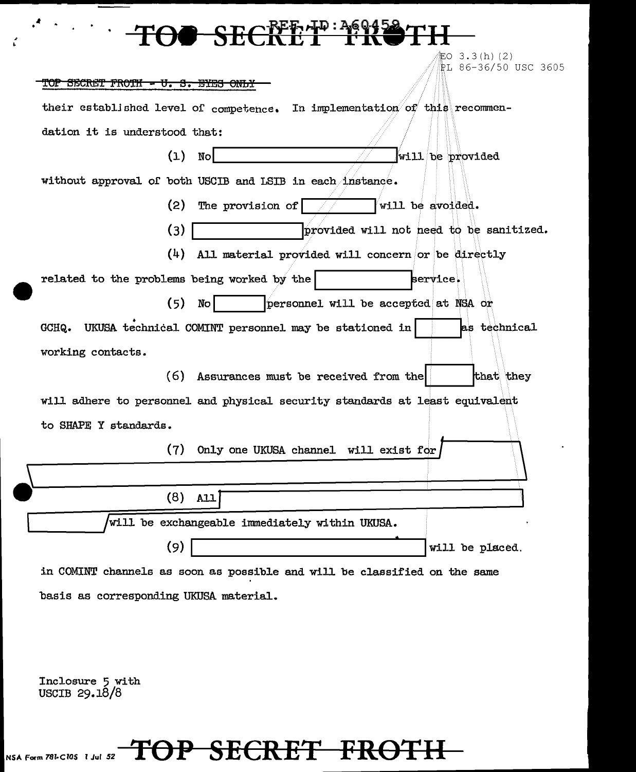

basis as corresponding UKUSA material.

Inclosure 5 with USCIB 29.18/8

#### P SECRET FROT NSA Form 781-C105 1 Jul 52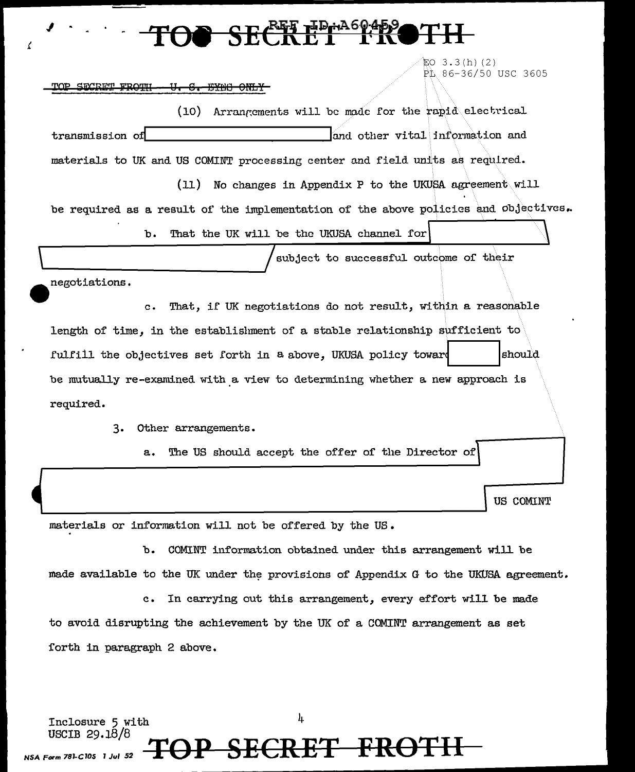## SECRET HELA60459

 $EO$  3.3 $(h)$  (2) PL 86-36/50 USC 3605

TOP SECRET FROTH - U. S. EYEO ONLY-

(10) Arrangements will be made for the rapid electrical transmission of **and other vital** information and **information** and materials to UK and US COMINT processing center and field units as required.

 $(11)$  No changes in Appendix P to the UKUSA agreement will

be required as a result of the implementation of the above policies and objectives.

b. That the UK will be the UKUSA channel for

subject to successful outcome of their

~negotiations.

**.J** 

c. That, if UK negotiations do not result, within a reasonable length of time, in the establishment of a stable relationship sufficient to fulfill the objectives set forth in a above, UKUSA policy toward should

be mutually re-examined with a view to determining whether a new approach is required.

3. Other arrangements.

a. The US should accept the offer of the Director of

US COMINT

materials or information will not be offered by the US.

b. COMINT information obtained under this arrangement will be made available to the UK under the provisions of Appendix G to the UKUSA agreement.

c. In carrying out this arrangement, every effort will be made to avoid disrupting the achievement by the UK of a COMINT arrangement as set forth in paragraph 2 above.

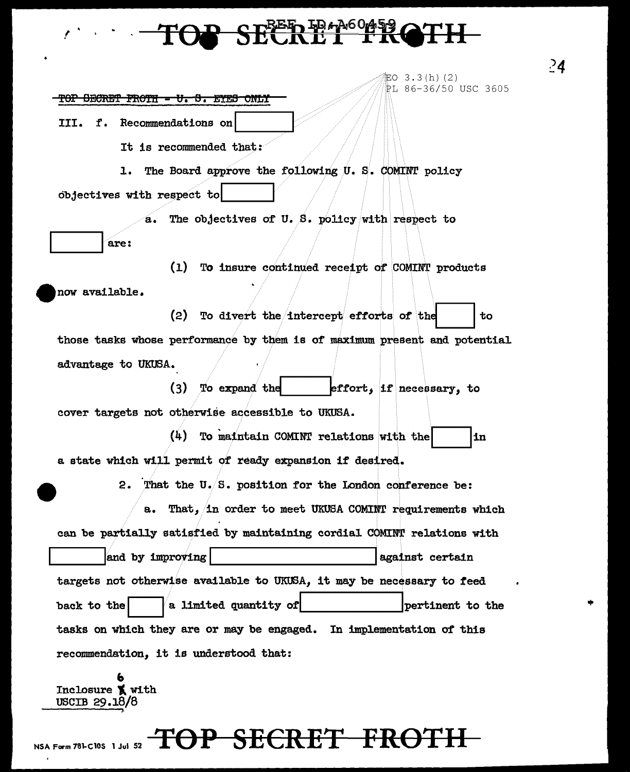# R SEEDEAROPRO

#### TOP SECRET FROTH - U. S. EYES ONLY

III. f. Recommendations on

It is recommended that:

The Board approve the following U.S. COMINT policy  $1.$ 

objectives with respect to

a. The objectives of U.S. policy with respect to

are:

(1) To insure continued receipt of COMINT products now available.

> (2) To divert the intercept efforts of the  $to$

those tasks whose performance by them is of maximum present and potential advantage to UKUSA.

 $(3)$  To expand the effort, if necessary, to cover targets not otherwise accessible to UKUSA.

 $(4)$  To maintain COMINT relations with the in a state which will permit of ready expansion if desired.

2. That the U. S. position for the London conference be:

a. That, in order to meet UKUSA COMINT requirements which can be partially satisfied by maintaining cordial COMINT relations with  $|$  and by improving against certain targets not otherwise available to UKUSA. it may be necessary to feed a limited quantity of back to the pertinent to the tasks on which they are or may be engaged. In implementation of this recommendation, it is understood that:

Inclosure X with USCIB 29.18/8

### TOP SECRET FROTH NSA Form 781-C10S 1 Jul 52

 $\frac{5}{4}$ 

ino 3.3(h)(2)

PL 86-36/50 USC 3605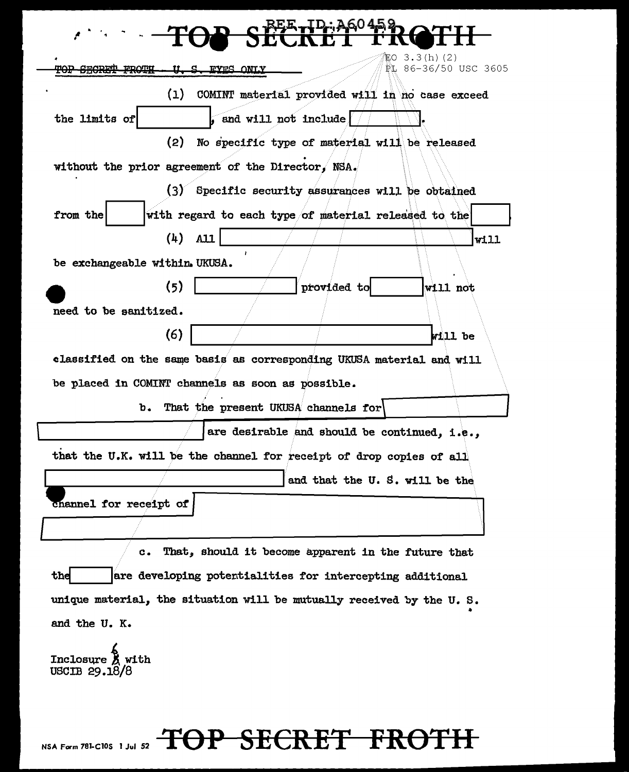| ) : A60 45                                                            |
|-----------------------------------------------------------------------|
| 3.3(h)(2)<br>ΈO<br>PL 86-36/50 USC 3605<br><u>FYFS ONLY</u>           |
| (1)<br>COMINT material provided will in no case exceed                |
| the limits of<br>, and will not include $\frac{1}{2}$                 |
| (2)<br>No specific type of material will be released                  |
| without the prior agreement of the Director, NSA.                     |
| (3)<br>Specific security assurances will be obtained                  |
| with regard to each type of material released to the<br>from the      |
| (4)<br><b>A11</b><br>will                                             |
| be exchangeable within. UKUSA.                                        |
| (5)<br>provided to<br>will not                                        |
| need to be sanitized.                                                 |
| (6)<br>Will be                                                        |
| classified on the same basis as corresponding UKUSA material and will |
| be placed in COMINT channels as soon as possible.                     |
| That the present UKUSA channels for<br>b.                             |
| are desirable and should be continued, i.e.,                          |
| that the U.K. will be the channel for receipt of drop copies of all   |
| and that the U.S. will be the                                         |
| channel for receipt of                                                |
| That, should it become apparent in the future that<br>$\mathbf{c}$ .  |
| are developing potentialities for intercepting additional<br>the      |

unique material, the situation will be mutually received by the U.S. and the U. K.

 $\begin{matrix} & \zeta\\ \text{Inclosure X with}\\ \text{USCIB 29.18/8} \end{matrix}$ 

## NSA Form 781-Cl0s 1 Jul 52 TOP SECRET FROTH